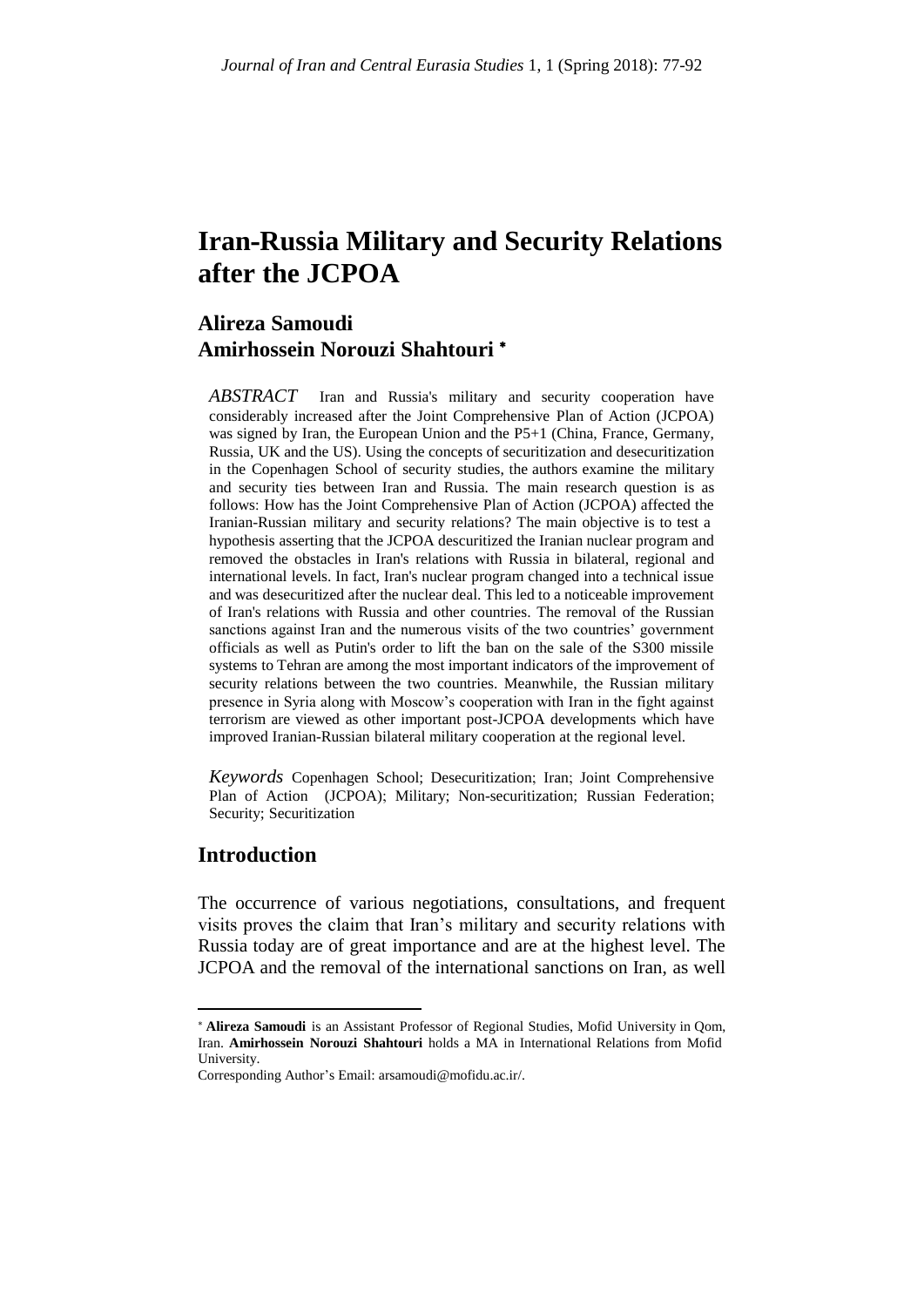# **Iran-Russia Military and Security Relations after the JCPOA**

## **Alireza Samoudi Amirhossein Norouzi Shahtouri**

*ABSTRACT* Iran and Russia's military and security cooperation have considerably increased after the Joint Comprehensive Plan of Action (JCPOA) was signed by Iran, the European Union and the P5+1 (China, France, Germany, Russia, UK and the US). Using the concepts of securitization and desecuritization in the Copenhagen School of security studies, the authors examine the military and security ties between Iran and Russia. The main research question is as follows: How has the Joint Comprehensive Plan of Action (JCPOA) affected the Iranian-Russian military and security relations? The main objective is to test a hypothesis asserting that the JCPOA descuritized the Iranian nuclear program and removed the obstacles in Iran's relations with Russia in bilateral, regional and international levels. In fact, Iran's nuclear program changed into a technical issue and was desecuritized after the nuclear deal. This led to a noticeable improvement of Iran's relations with Russia and other countries. The removal of the Russian sanctions against Iran and the numerous visits of the two countries' government officials as well as Putin's order to lift the ban on the sale of the S300 missile systems to Tehran are among the most important indicators of the improvement of security relations between the two countries. Meanwhile, the Russian military presence in Syria along with Moscow's cooperation with Iran in the fight against terrorism are viewed as other important post-JCPOA developments which have improved Iranian-Russian bilateral military cooperation at the regional level.

*Keywords* Copenhagen School; Desecuritization; Iran; Joint Comprehensive Plan of Action (JCPOA); Military; Non-securitization; Russian Federation; Security; Securitization

## **Introduction**

**.** 

The occurrence of various negotiations, consultations, and frequent visits proves the claim that Iran's military and security relations with Russia today are of great importance and are at the highest level. The JCPOA and the removal of the international sanctions on Iran, as well

**Alireza Samoudi** is an Assistant Professor of Regional Studies, Mofid University in Qom, Iran. **Amirhossein Norouzi Shahtouri** holds a MA in International Relations from Mofid University.

Corresponding Author's Email: arsamoudi@mofidu.ac.ir/.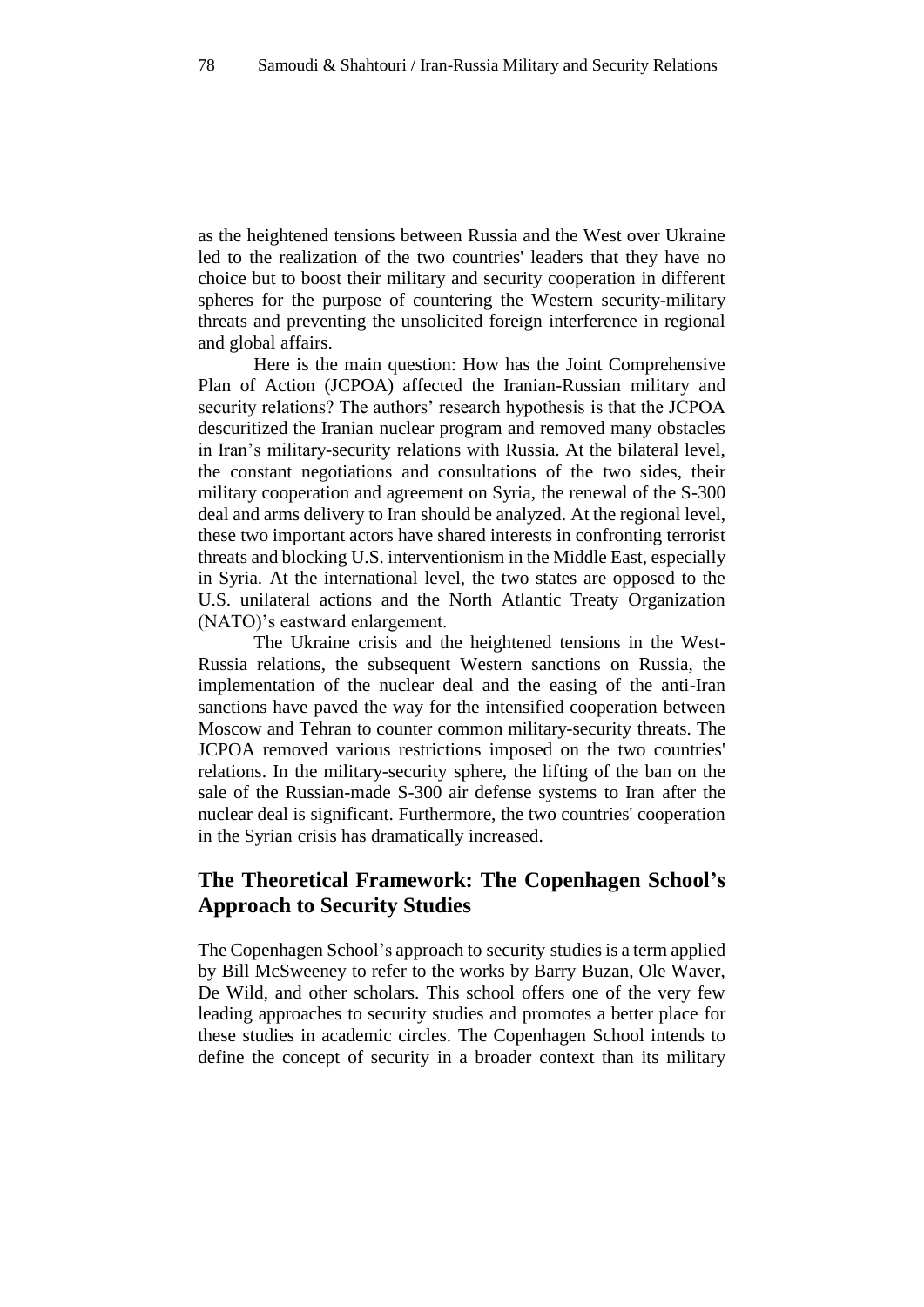as the heightened tensions between Russia and the West over Ukraine led to the realization of the two countries' leaders that they have no choice but to boost their military and security cooperation in different spheres for the purpose of countering the Western security-military threats and preventing the unsolicited foreign interference in regional and global affairs.

Here is the main question: How has the Joint Comprehensive Plan of Action (JCPOA) affected the Iranian-Russian military and security relations? The authors' research hypothesis is that the JCPOA descuritized the Iranian nuclear program and removed many obstacles in Iran's military-security relations with Russia. At the bilateral level, the constant negotiations and consultations of the two sides, their military cooperation and agreement on Syria, the renewal of the S-300 deal and arms delivery to Iran should be analyzed. At the regional level, these two important actors have shared interests in confronting terrorist threats and blocking U.S. interventionism in the Middle East, especially in Syria. At the international level, the two states are opposed to the U.S. unilateral actions and the North Atlantic Treaty Organization (NATO)'s eastward enlargement.

The Ukraine crisis and the heightened tensions in the West-Russia relations, the subsequent Western sanctions on Russia, the implementation of the nuclear deal and the easing of the anti-Iran sanctions have paved the way for the intensified cooperation between Moscow and Tehran to counter common military-security threats. The JCPOA removed various restrictions imposed on the two countries' relations. In the military-security sphere, the lifting of the ban on the sale of the Russian-made S-300 air defense systems to Iran after the nuclear deal is significant. Furthermore, the two countries' cooperation in the Syrian crisis has dramatically increased.

## **The Theoretical Framework: The Copenhagen School's Approach to Security Studies**

The Copenhagen School's approach to security studies is a term applied by Bill McSweeney to refer to the works by Barry Buzan, Ole Waver, De Wild, and other scholars. This school offers one of the very few leading approaches to security studies and promotes a better place for these studies in academic circles. The Copenhagen School intends to define the concept of security in a broader context than its military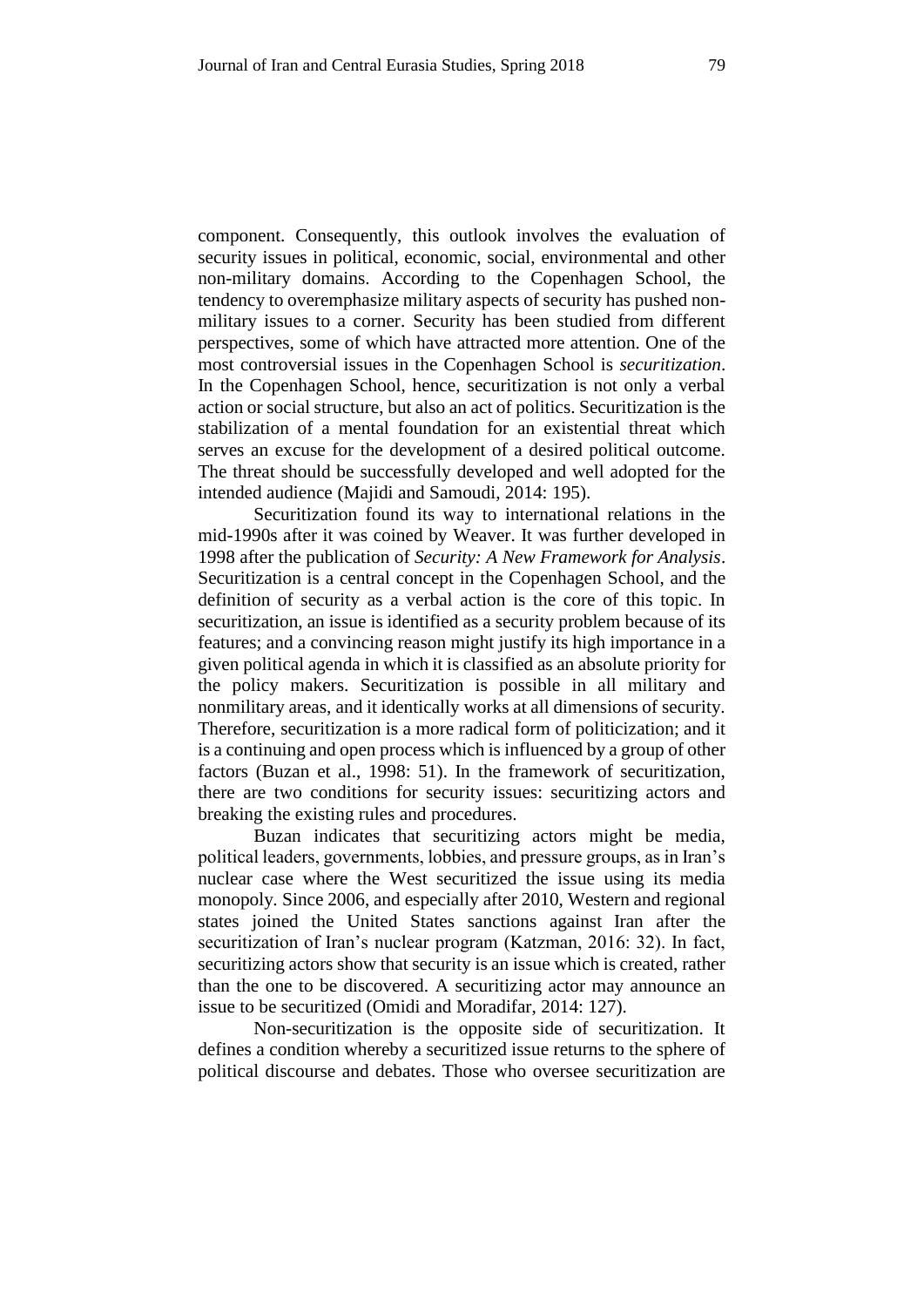component. Consequently, this outlook involves the evaluation of security issues in political, economic, social, environmental and other non-military domains. According to the Copenhagen School, the tendency to overemphasize military aspects of security has pushed nonmilitary issues to a corner. Security has been studied from different perspectives, some of which have attracted more attention. One of the most controversial issues in the Copenhagen School is *securitization*. In the Copenhagen School, hence, securitization is not only a verbal action or social structure, but also an act of politics. Securitization is the stabilization of a mental foundation for an existential threat which serves an excuse for the development of a desired political outcome. The threat should be successfully developed and well adopted for the intended audience (Majidi and Samoudi, 2014: 195).

Securitization found its way to international relations in the mid-1990s after it was coined by Weaver. It was further developed in 1998 after the publication of *Security: A New Framework for Analysis*. Securitization is a central concept in the Copenhagen School, and the definition of security as a verbal action is the core of this topic. In securitization, an issue is identified as a security problem because of its features; and a convincing reason might justify its high importance in a given political agenda in which it is classified as an absolute priority for the policy makers. Securitization is possible in all military and nonmilitary areas, and it identically works at all dimensions of security. Therefore, securitization is a more radical form of politicization; and it is a continuing and open process which is influenced by a group of other factors (Buzan et al., 1998: 51). In the framework of securitization, there are two conditions for security issues: securitizing actors and breaking the existing rules and procedures.

Buzan indicates that securitizing actors might be media, political leaders, governments, lobbies, and pressure groups, as in Iran's nuclear case where the West securitized the issue using its media monopoly. Since 2006, and especially after 2010, Western and regional states joined the United States sanctions against Iran after the securitization of Iran's nuclear program (Katzman, 2016: 32). In fact, securitizing actors show that security is an issue which is created, rather than the one to be discovered. A securitizing actor may announce an issue to be securitized (Omidi and Moradifar, 2014: 127).

Non-securitization is the opposite side of securitization. It defines a condition whereby a securitized issue returns to the sphere of political discourse and debates. Those who oversee securitization are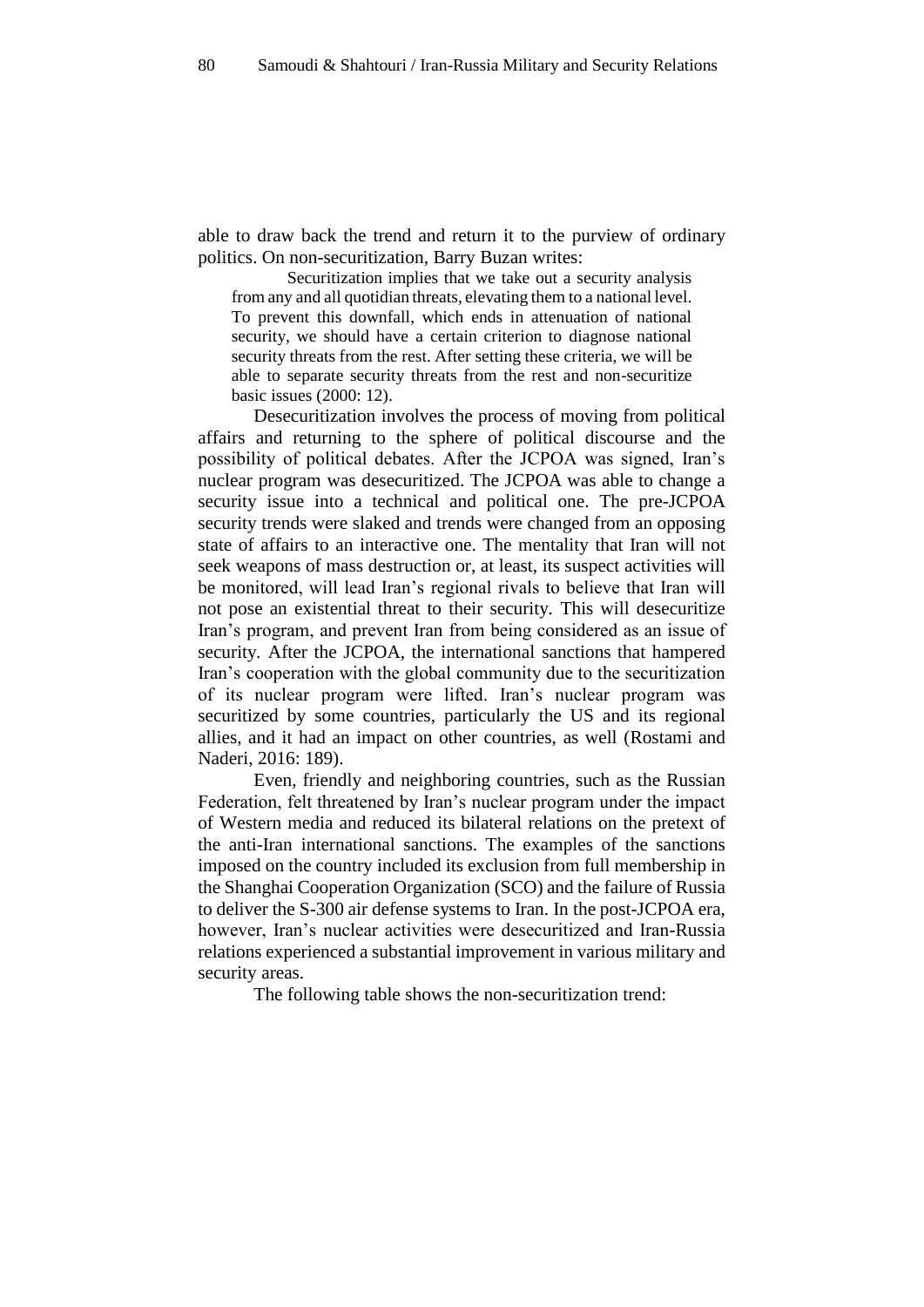able to draw back the trend and return it to the purview of ordinary politics. On non-securitization, Barry Buzan writes:

Securitization implies that we take out a security analysis from any and all quotidian threats, elevating them to a national level. To prevent this downfall, which ends in attenuation of national security, we should have a certain criterion to diagnose national security threats from the rest. After setting these criteria, we will be able to separate security threats from the rest and non-securitize basic issues (2000: 12).

Desecuritization involves the process of moving from political affairs and returning to the sphere of political discourse and the possibility of political debates. After the JCPOA was signed, Iran's nuclear program was desecuritized. The JCPOA was able to change a security issue into a technical and political one. The pre-JCPOA security trends were slaked and trends were changed from an opposing state of affairs to an interactive one. The mentality that Iran will not seek weapons of mass destruction or, at least, its suspect activities will be monitored, will lead Iran's regional rivals to believe that Iran will not pose an existential threat to their security. This will desecuritize Iran's program, and prevent Iran from being considered as an issue of security. After the JCPOA, the international sanctions that hampered Iran's cooperation with the global community due to the securitization of its nuclear program were lifted. Iran's nuclear program was securitized by some countries, particularly the US and its regional allies, and it had an impact on other countries, as well (Rostami and Naderi, 2016: 189).

Even, friendly and neighboring countries, such as the Russian Federation, felt threatened by Iran's nuclear program under the impact of Western media and reduced its bilateral relations on the pretext of the anti-Iran international sanctions. The examples of the sanctions imposed on the country included its exclusion from full membership in the Shanghai Cooperation Organization (SCO) and the failure of Russia to deliver the S-300 air defense systems to Iran. In the post-JCPOA era, however, Iran's nuclear activities were desecuritized and Iran-Russia relations experienced a substantial improvement in various military and security areas.

The following table shows the non-securitization trend: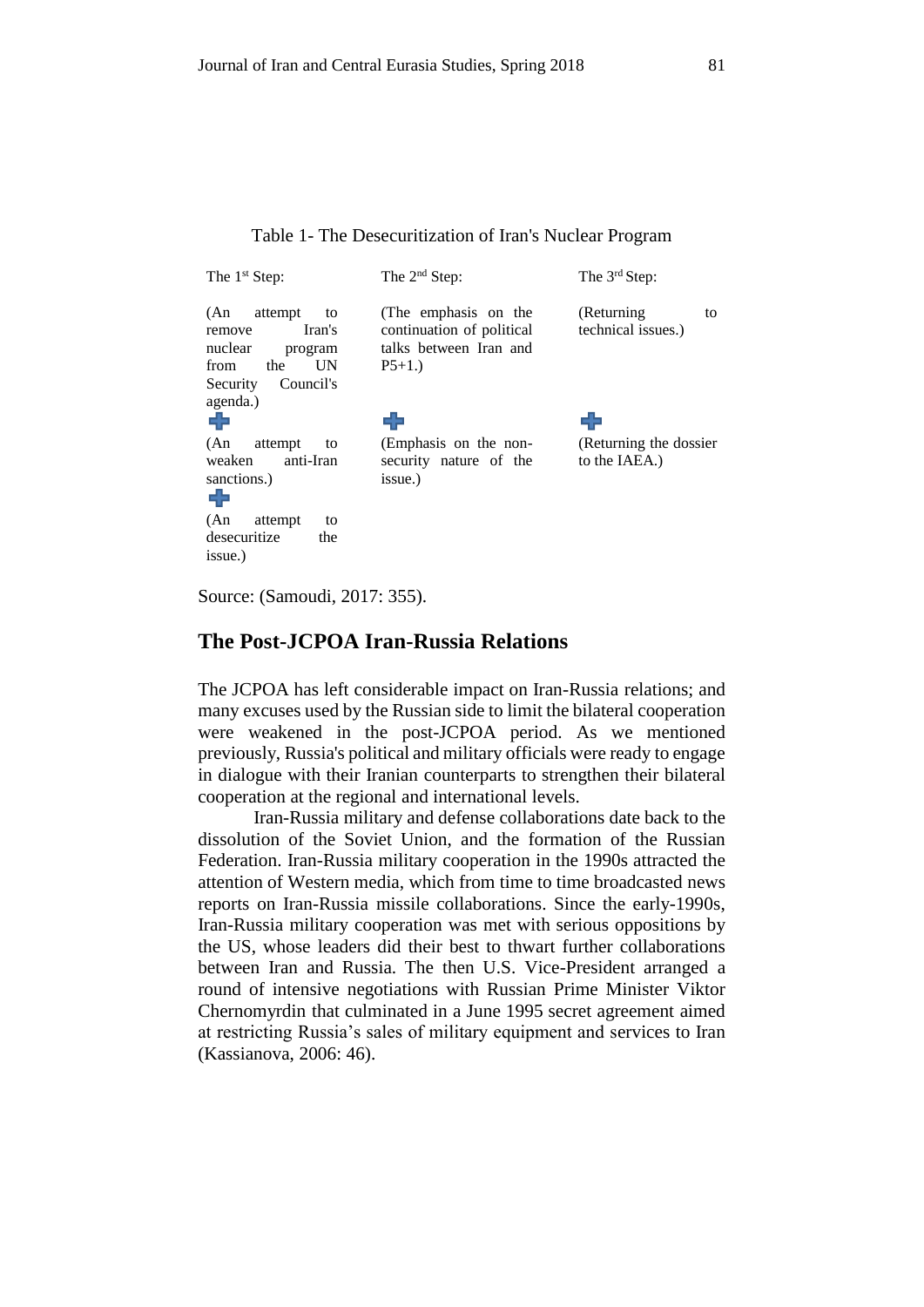Table 1- The Desecuritization of Iran's Nuclear Program

| The $1st$ Step:                                                                                               | The 2 <sup>nd</sup> Step:                                                              | The 3 <sup>rd</sup> Step:                |
|---------------------------------------------------------------------------------------------------------------|----------------------------------------------------------------------------------------|------------------------------------------|
| attempt<br>(An)<br>to<br>Iran's<br>remove<br>nuclear<br>program<br>UN<br>from<br>the<br>Council's<br>Security | (The emphasis on the<br>continuation of political<br>talks between Iran and<br>$P5+1.$ | (Returning)<br>to<br>technical issues.)  |
| agenda.)<br>ᆃ                                                                                                 | 23                                                                                     | 52                                       |
| (An)<br>attempt<br>to<br>weaken<br>anti-Iran<br>sanctions.)<br>53                                             | (Emphasis on the non-<br>security nature of the<br>issue.)                             | (Returning the dossier)<br>to the IAEA.) |
| (An)<br>attempt<br>to<br>desecuritize<br>the<br>issue.)                                                       |                                                                                        |                                          |

Source: (Samoudi, 2017: 355).

## **The Post-JCPOA Iran-Russia Relations**

The JCPOA has left considerable impact on Iran-Russia relations; and many excuses used by the Russian side to limit the bilateral cooperation were weakened in the post-JCPOA period. As we mentioned previously, Russia's political and military officials were ready to engage in dialogue with their Iranian counterparts to strengthen their bilateral cooperation at the regional and international levels.

Iran-Russia military and defense collaborations date back to the dissolution of the Soviet Union, and the formation of the Russian Federation. Iran-Russia military cooperation in the 1990s attracted the attention of Western media, which from time to time broadcasted news reports on Iran-Russia missile collaborations. Since the early-1990s, Iran-Russia military cooperation was met with serious oppositions by the US, whose leaders did their best to thwart further collaborations between Iran and Russia. The then U.S. Vice-President arranged a round of intensive negotiations with Russian Prime Minister Viktor Chernomyrdin that culminated in a June 1995 secret agreement aimed at restricting Russia's sales of military equipment and services to Iran (Kassianova, 2006: 46).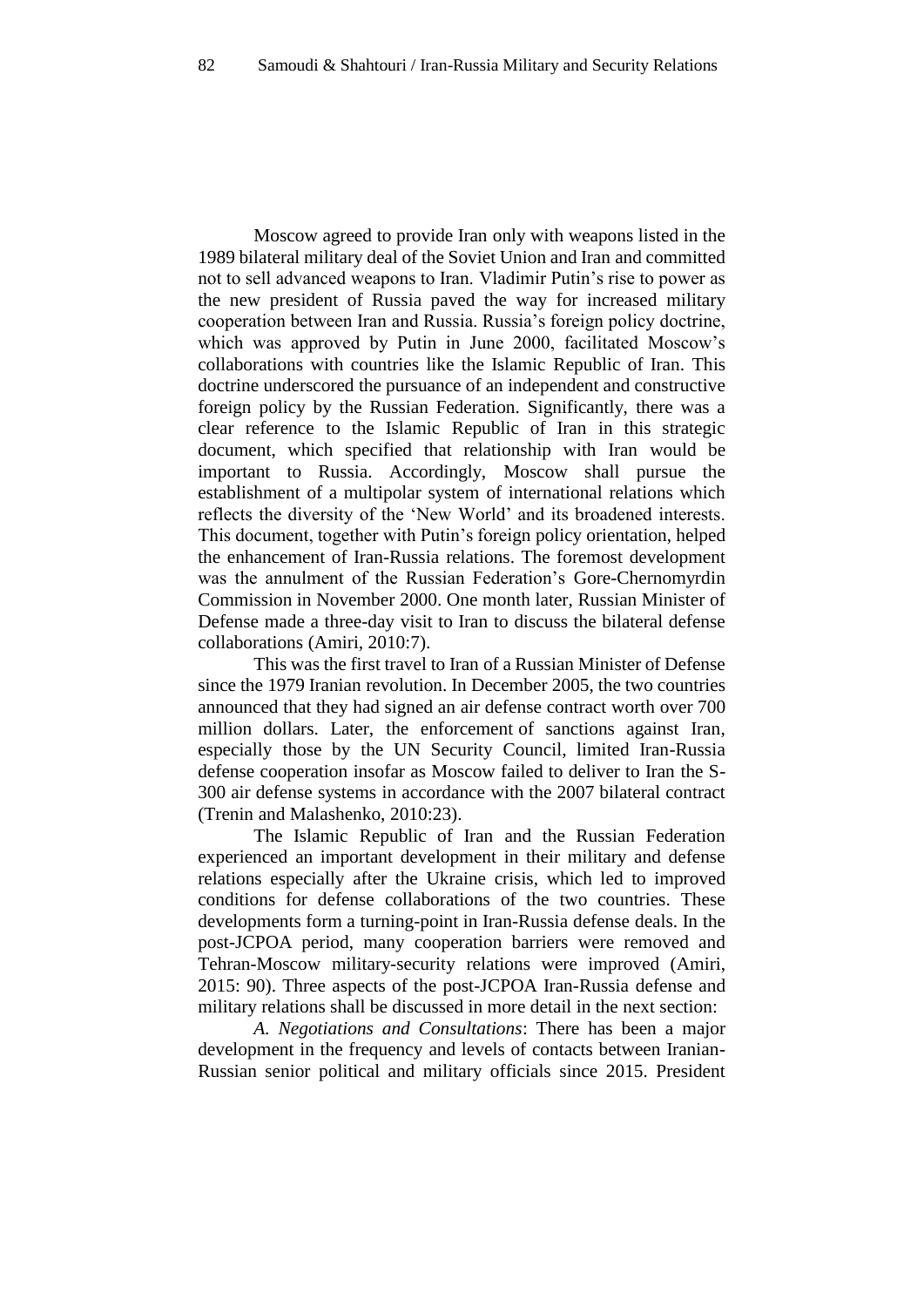Moscow agreed to provide Iran only with weapons listed in the 1989 bilateral military deal of the Soviet Union and Iran and committed not to sell advanced weapons to Iran. Vladimir Putin's rise to power as the new president of Russia paved the way for increased military cooperation between Iran and Russia. Russia's foreign policy doctrine, which was approved by Putin in June 2000, facilitated Moscow's collaborations with countries like the Islamic Republic of Iran. This doctrine underscored the pursuance of an independent and constructive foreign policy by the Russian Federation. Significantly, there was a clear reference to the Islamic Republic of Iran in this strategic document, which specified that relationship with Iran would be important to Russia. Accordingly, Moscow shall pursue the establishment of a multipolar system of international relations which reflects the diversity of the 'New World' and its broadened interests. This document, together with Putin's foreign policy orientation, helped the enhancement of Iran-Russia relations. The foremost development was the annulment of the Russian Federation's Gore-Chernomyrdin Commission in November 2000. One month later, Russian Minister of Defense made a three-day visit to Iran to discuss the bilateral defense collaborations (Amiri, 2010:7).

This was the first travel to Iran of a Russian Minister of Defense since the 1979 Iranian revolution. In December 2005, the two countries announced that they had signed an air defense contract worth over 700 million dollars. Later, the enforcement of sanctions against Iran, especially those by the UN Security Council, limited Iran-Russia defense cooperation insofar as Moscow failed to deliver to Iran the S-300 air defense systems in accordance with the 2007 bilateral contract (Trenin and Malashenko, 2010:23).

The Islamic Republic of Iran and the Russian Federation experienced an important development in their military and defense relations especially after the Ukraine crisis, which led to improved conditions for defense collaborations of the two countries. These developments form a turning-point in Iran-Russia defense deals. In the post-JCPOA period, many cooperation barriers were removed and Tehran-Moscow military-security relations were improved (Amiri, 2015: 90). Three aspects of the post-JCPOA Iran-Russia defense and military relations shall be discussed in more detail in the next section:

*A. Negotiations and Consultations*: There has been a major development in the frequency and levels of contacts between Iranian-Russian senior political and military officials since 2015. President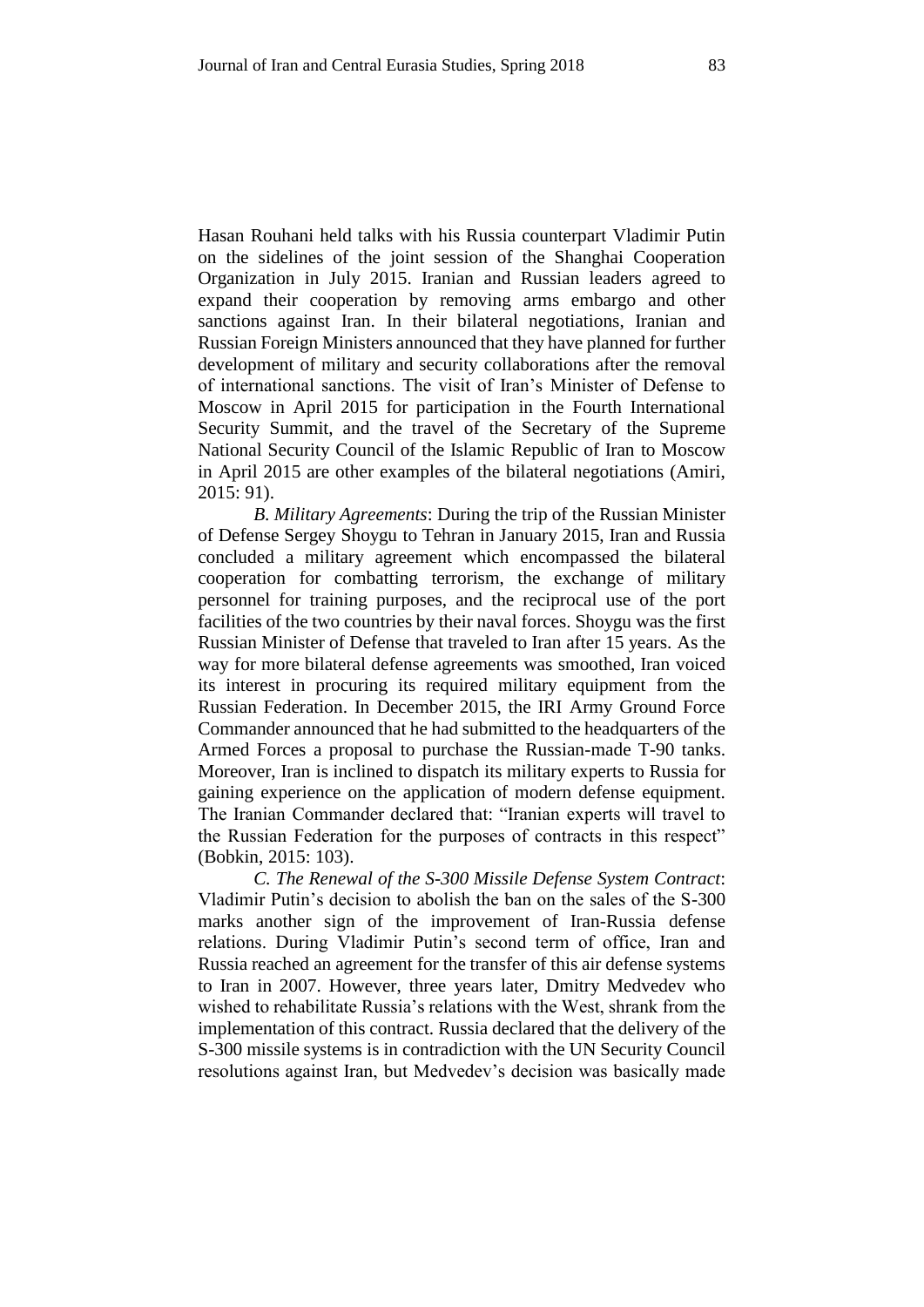Hasan Rouhani held talks with his Russia counterpart Vladimir Putin on the sidelines of the joint session of the Shanghai Cooperation Organization in July 2015. Iranian and Russian leaders agreed to expand their cooperation by removing arms embargo and other sanctions against Iran. In their bilateral negotiations, Iranian and Russian Foreign Ministers announced that they have planned for further development of military and security collaborations after the removal of international sanctions. The visit of Iran's Minister of Defense to Moscow in April 2015 for participation in the Fourth International Security Summit, and the travel of the Secretary of the Supreme National Security Council of the Islamic Republic of Iran to Moscow in April 2015 are other examples of the bilateral negotiations (Amiri, 2015: 91).

*B. Military Agreements*: During the trip of the Russian Minister of Defense Sergey Shoygu to Tehran in January 2015, Iran and Russia concluded a military agreement which encompassed the bilateral cooperation for combatting terrorism, the exchange of military personnel for training purposes, and the reciprocal use of the port facilities of the two countries by their naval forces. Shoygu was the first Russian Minister of Defense that traveled to Iran after 15 years. As the way for more bilateral defense agreements was smoothed, Iran voiced its interest in procuring its required military equipment from the Russian Federation. In December 2015, the IRI Army Ground Force Commander announced that he had submitted to the headquarters of the Armed Forces a proposal to purchase the Russian-made T-90 tanks. Moreover, Iran is inclined to dispatch its military experts to Russia for gaining experience on the application of modern defense equipment. The Iranian Commander declared that: "Iranian experts will travel to the Russian Federation for the purposes of contracts in this respect" (Bobkin, 2015: 103).

*C. The Renewal of the S-300 Missile Defense System Contract*: Vladimir Putin's decision to abolish the ban on the sales of the S-300 marks another sign of the improvement of Iran-Russia defense relations. During Vladimir Putin's second term of office, Iran and Russia reached an agreement for the transfer of this air defense systems to Iran in 2007. However, three years later, Dmitry Medvedev who wished to rehabilitate Russia's relations with the West, shrank from the implementation of this contract. Russia declared that the delivery of the S-300 missile systems is in contradiction with the UN Security Council resolutions against Iran, but Medvedev's decision was basically made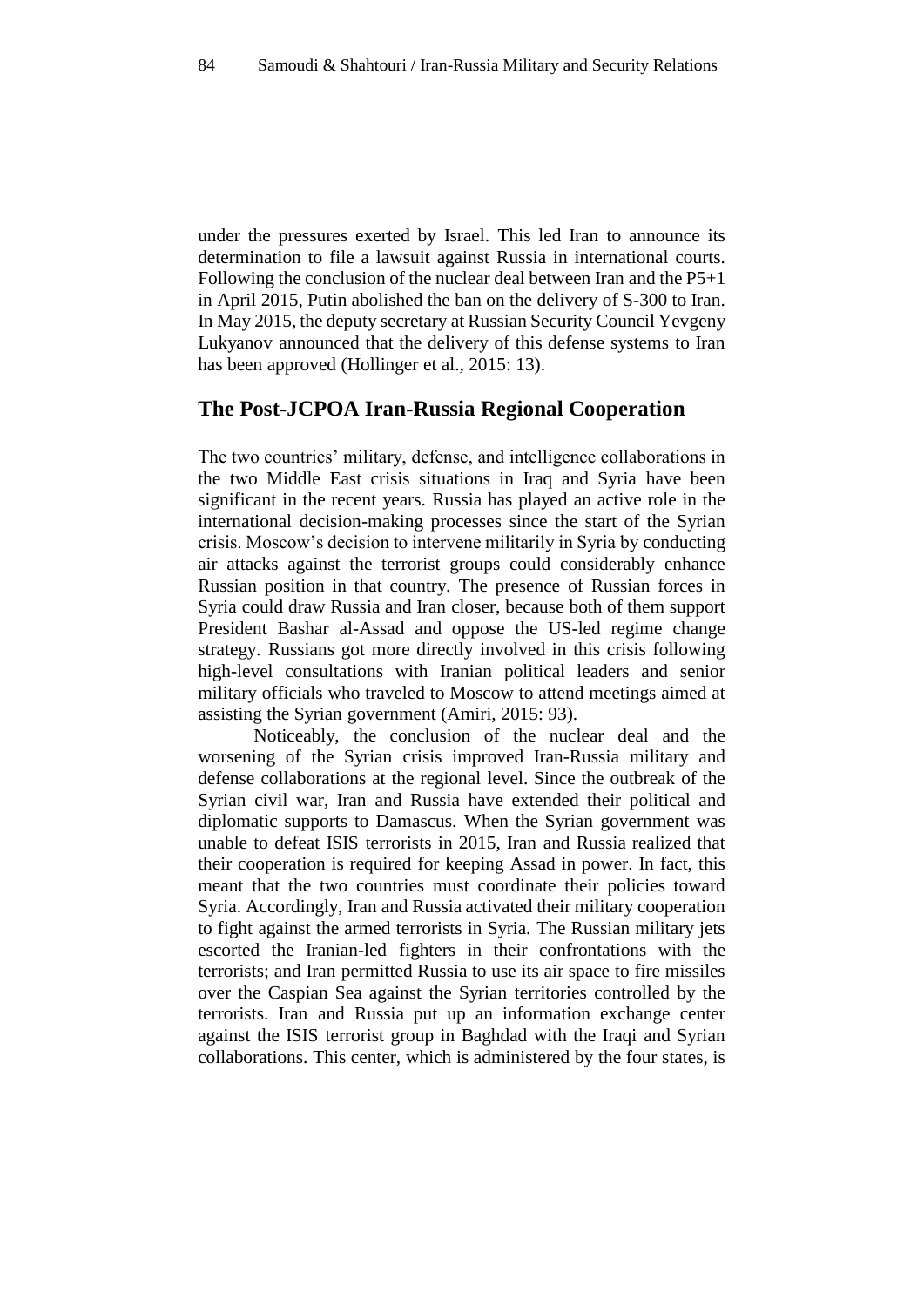under the pressures exerted by Israel. This led Iran to announce its determination to file a lawsuit against Russia in international courts. Following the conclusion of the nuclear deal between Iran and the P5+1 in April 2015, Putin abolished the ban on the delivery of S-300 to Iran. In May 2015, the deputy secretary at Russian Security Council Yevgeny Lukyanov announced that the delivery of this defense systems to Iran has been approved (Hollinger et al., 2015: 13).

## **The Post-JCPOA Iran-Russia Regional Cooperation**

The two countries' military, defense, and intelligence collaborations in the two Middle East crisis situations in Iraq and Syria have been significant in the recent years. Russia has played an active role in the international decision-making processes since the start of the Syrian crisis. Moscow's decision to intervene militarily in Syria by conducting air attacks against the terrorist groups could considerably enhance Russian position in that country. The presence of Russian forces in Syria could draw Russia and Iran closer, because both of them support President Bashar al-Assad and oppose the US-led regime change strategy. Russians got more directly involved in this crisis following high-level consultations with Iranian political leaders and senior military officials who traveled to Moscow to attend meetings aimed at assisting the Syrian government (Amiri, 2015: 93).

Noticeably, the conclusion of the nuclear deal and the worsening of the Syrian crisis improved Iran-Russia military and defense collaborations at the regional level. Since the outbreak of the Syrian civil war, Iran and Russia have extended their political and diplomatic supports to Damascus. When the Syrian government was unable to defeat ISIS terrorists in 2015, Iran and Russia realized that their cooperation is required for keeping Assad in power. In fact, this meant that the two countries must coordinate their policies toward Syria. Accordingly, Iran and Russia activated their military cooperation to fight against the armed terrorists in Syria. The Russian military jets escorted the Iranian-led fighters in their confrontations with the terrorists; and Iran permitted Russia to use its air space to fire missiles over the Caspian Sea against the Syrian territories controlled by the terrorists. Iran and Russia put up an information exchange center against the ISIS terrorist group in Baghdad with the Iraqi and Syrian collaborations. This center, which is administered by the four states, is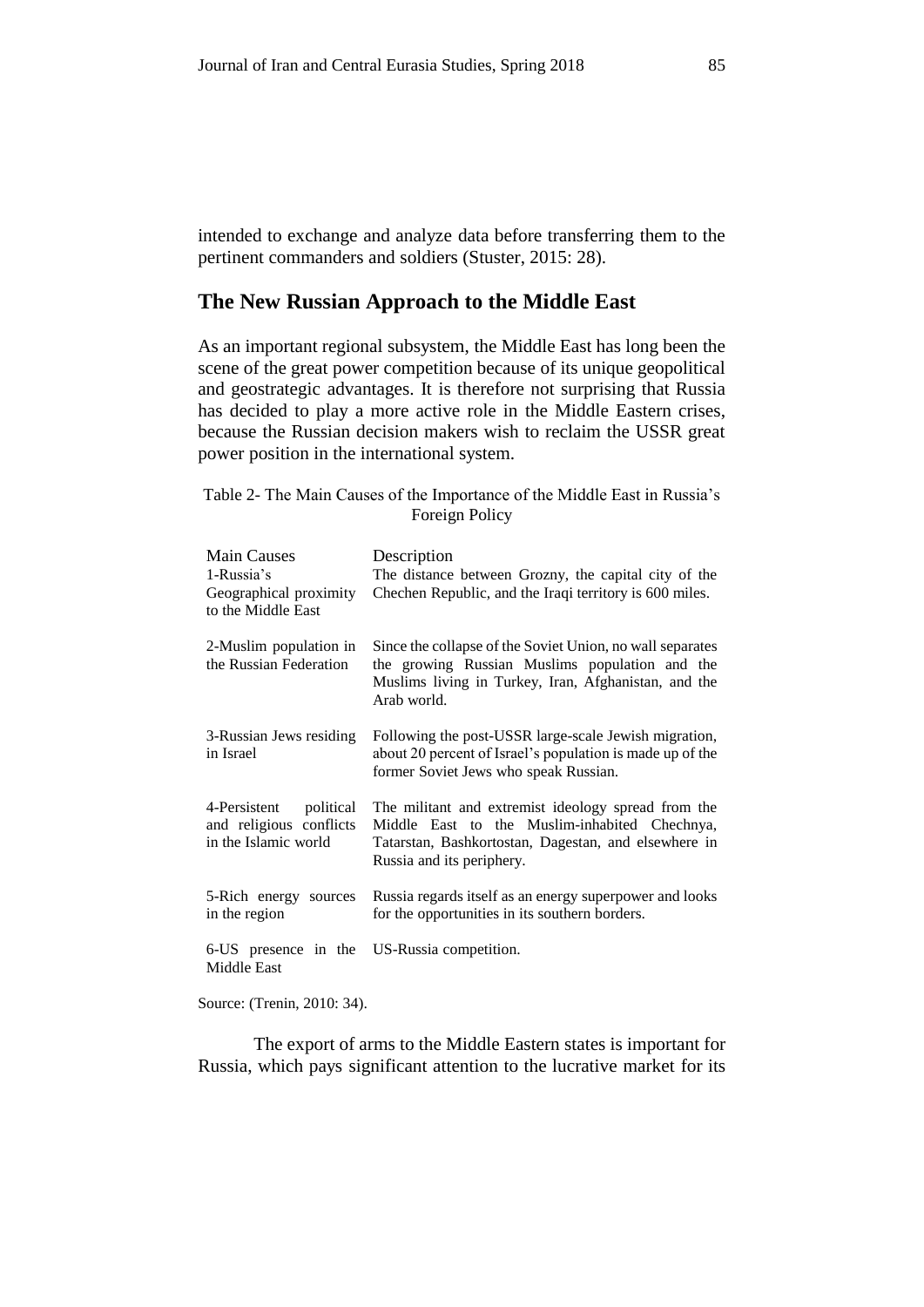intended to exchange and analyze data before transferring them to the pertinent commanders and soldiers (Stuster, 2015: 28).

#### **The New Russian Approach to the Middle East**

As an important regional subsystem, the Middle East has long been the scene of the great power competition because of its unique geopolitical and geostrategic advantages. It is therefore not surprising that Russia has decided to play a more active role in the Middle Eastern crises, because the Russian decision makers wish to reclaim the USSR great power position in the international system.

Table 2- The Main Causes of the Importance of the Middle East in Russia's Foreign Policy

| <b>Main Causes</b><br>1-Russia's<br>Geographical proximity<br>to the Middle East | Description<br>The distance between Grozny, the capital city of the<br>Chechen Republic, and the Iraqi territory is 600 miles.                                                            |
|----------------------------------------------------------------------------------|-------------------------------------------------------------------------------------------------------------------------------------------------------------------------------------------|
| 2-Muslim population in<br>the Russian Federation                                 | Since the collapse of the Soviet Union, no wall separates<br>the growing Russian Muslims population and the<br>Muslims living in Turkey, Iran, Afghanistan, and the<br>Arab world.        |
| 3-Russian Jews residing<br>in Israel                                             | Following the post-USSR large-scale Jewish migration,<br>about 20 percent of Israel's population is made up of the<br>former Soviet Jews who speak Russian.                               |
| 4-Persistent political<br>and religious conflicts<br>in the Islamic world        | The militant and extremist ideology spread from the<br>Middle East to the Muslim-inhabited Chechnya,<br>Tatarstan, Bashkortostan, Dagestan, and elsewhere in<br>Russia and its periphery. |
| 5-Rich energy sources<br>in the region                                           | Russia regards itself as an energy superpower and looks<br>for the opportunities in its southern borders.                                                                                 |
| 6-US presence in the US-Russia competition.<br>Middle East                       |                                                                                                                                                                                           |

Source: (Trenin, 2010: 34).

The export of arms to the Middle Eastern states is important for Russia, which pays significant attention to the lucrative market for its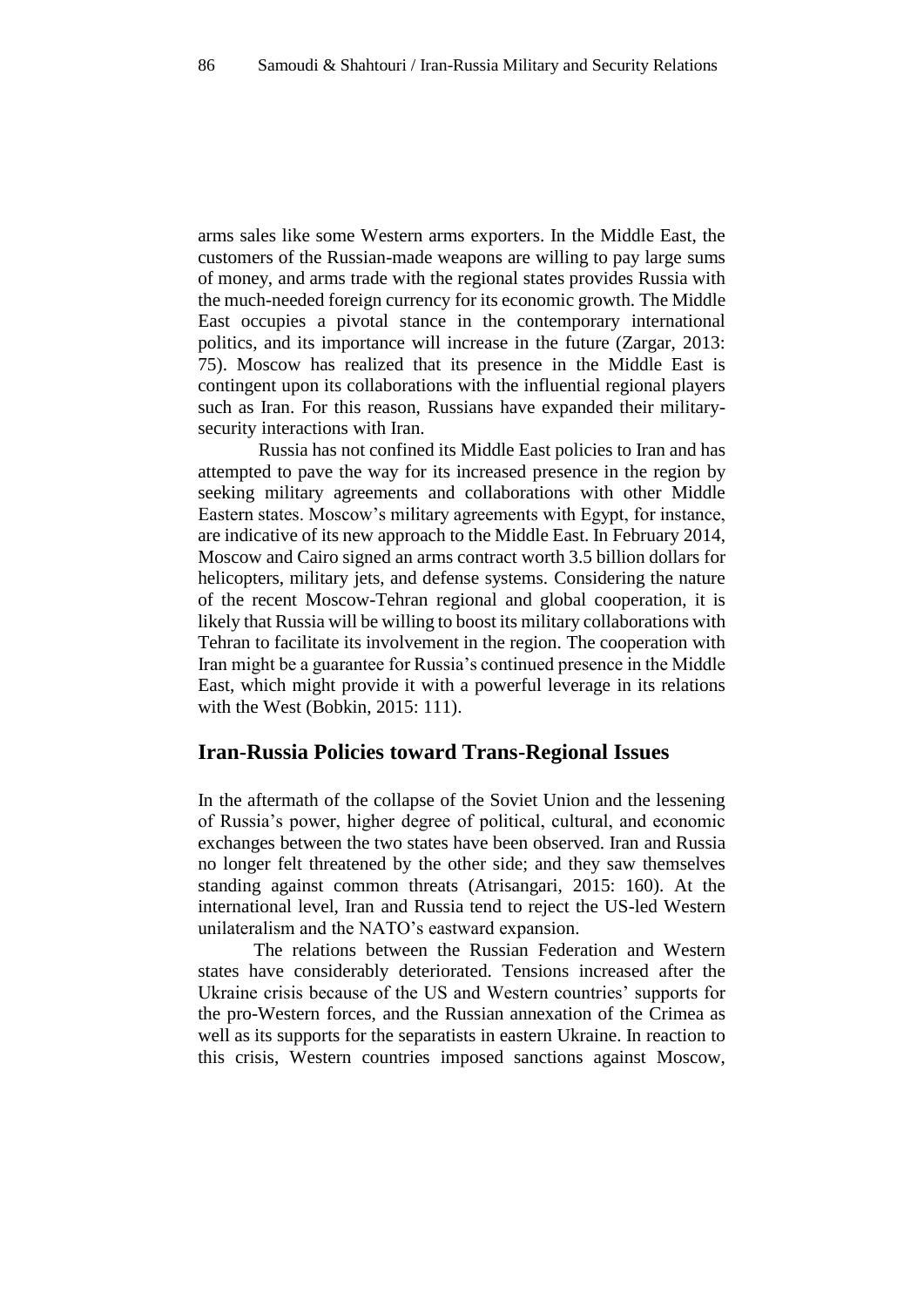arms sales like some Western arms exporters. In the Middle East, the customers of the Russian-made weapons are willing to pay large sums of money, and arms trade with the regional states provides Russia with the much-needed foreign currency for its economic growth. The Middle East occupies a pivotal stance in the contemporary international politics, and its importance will increase in the future (Zargar, 2013: 75). Moscow has realized that its presence in the Middle East is contingent upon its collaborations with the influential regional players such as Iran. For this reason, Russians have expanded their militarysecurity interactions with Iran.

Russia has not confined its Middle East policies to Iran and has attempted to pave the way for its increased presence in the region by seeking military agreements and collaborations with other Middle Eastern states. Moscow's military agreements with Egypt, for instance, are indicative of its new approach to the Middle East. In February 2014, Moscow and Cairo signed an arms contract worth 3.5 billion dollars for helicopters, military jets, and defense systems. Considering the nature of the recent Moscow-Tehran regional and global cooperation, it is likely that Russia will be willing to boost its military collaborations with Tehran to facilitate its involvement in the region. The cooperation with Iran might be a guarantee for Russia's continued presence in the Middle East, which might provide it with a powerful leverage in its relations with the West (Bobkin, 2015: 111).

#### **Iran-Russia Policies toward Trans-Regional Issues**

In the aftermath of the collapse of the Soviet Union and the lessening of Russia's power, higher degree of political, cultural, and economic exchanges between the two states have been observed. Iran and Russia no longer felt threatened by the other side; and they saw themselves standing against common threats (Atrisangari, 2015: 160). At the international level, Iran and Russia tend to reject the US-led Western unilateralism and the NATO's eastward expansion.

The relations between the Russian Federation and Western states have considerably deteriorated. Tensions increased after the Ukraine crisis because of the US and Western countries' supports for the pro-Western forces, and the Russian annexation of the Crimea as well as its supports for the separatists in eastern Ukraine. In reaction to this crisis, Western countries imposed sanctions against Moscow,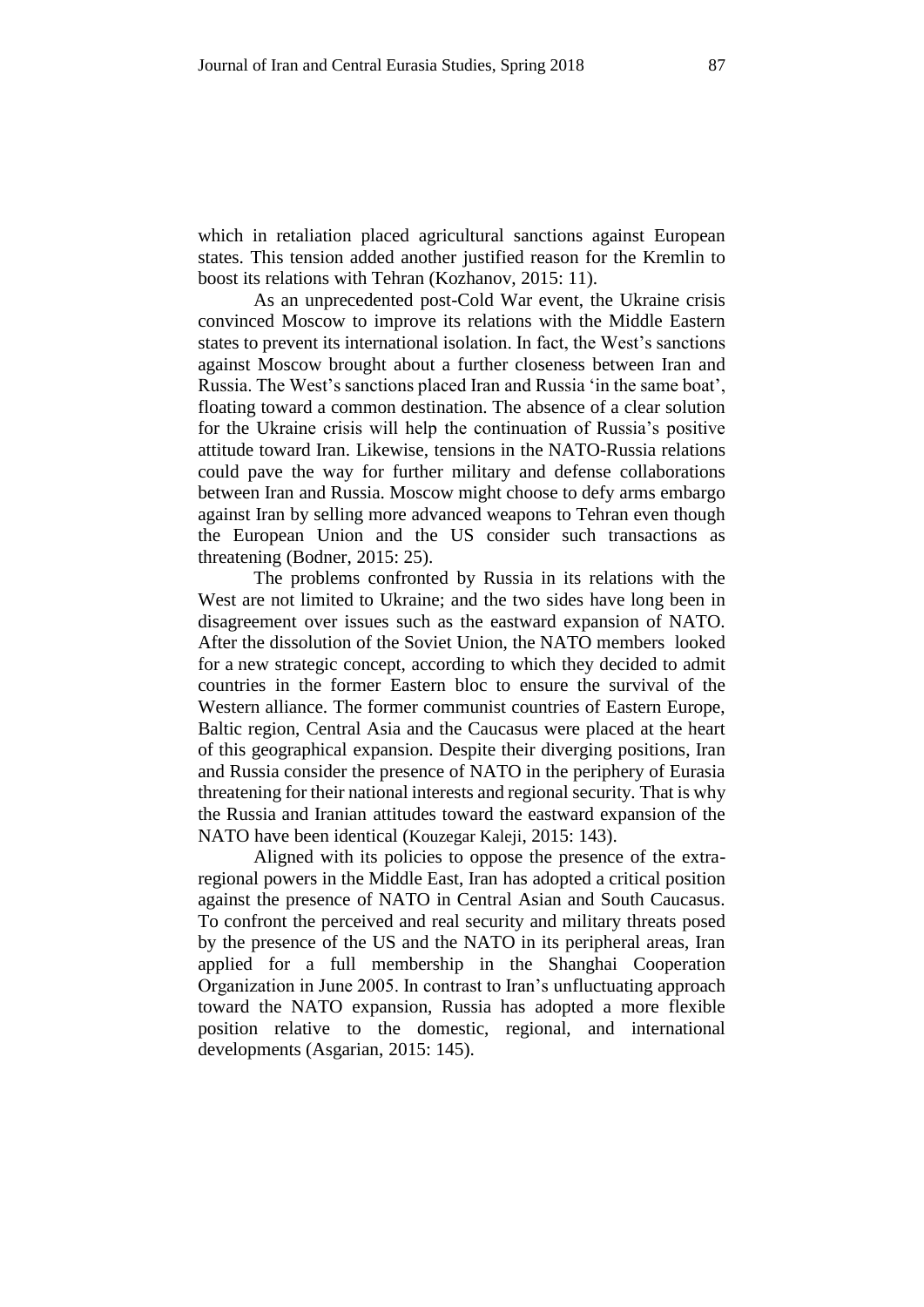which in retaliation placed agricultural sanctions against European states. This tension added another justified reason for the Kremlin to boost its relations with Tehran (Kozhanov, 2015: 11).

As an unprecedented post-Cold War event, the Ukraine crisis convinced Moscow to improve its relations with the Middle Eastern states to prevent its international isolation. In fact, the West's sanctions against Moscow brought about a further closeness between Iran and Russia. The West's sanctions placed Iran and Russia 'in the same boat', floating toward a common destination. The absence of a clear solution for the Ukraine crisis will help the continuation of Russia's positive attitude toward Iran. Likewise, tensions in the NATO-Russia relations could pave the way for further military and defense collaborations between Iran and Russia. Moscow might choose to defy arms embargo against Iran by selling more advanced weapons to Tehran even though the European Union and the US consider such transactions as threatening (Bodner, 2015: 25).

The problems confronted by Russia in its relations with the West are not limited to Ukraine; and the two sides have long been in disagreement over issues such as the eastward expansion of NATO. After the dissolution of the Soviet Union, the NATO members looked for a new strategic concept, according to which they decided to admit countries in the former Eastern bloc to ensure the survival of the Western alliance. The former communist countries of Eastern Europe, Baltic region, Central Asia and the Caucasus were placed at the heart of this geographical expansion. Despite their diverging positions, Iran and Russia consider the presence of NATO in the periphery of Eurasia threatening for their national interests and regional security. That is why the Russia and Iranian attitudes toward the eastward expansion of the NATO have been identical (Kouzegar Kaleji, 2015: 143).

Aligned with its policies to oppose the presence of the extraregional powers in the Middle East, Iran has adopted a critical position against the presence of NATO in Central Asian and South Caucasus. To confront the perceived and real security and military threats posed by the presence of the US and the NATO in its peripheral areas, Iran applied for a full membership in the Shanghai Cooperation Organization in June 2005. In contrast to Iran's unfluctuating approach toward the NATO expansion, Russia has adopted a more flexible position relative to the domestic, regional, and international developments (Asgarian, 2015: 145).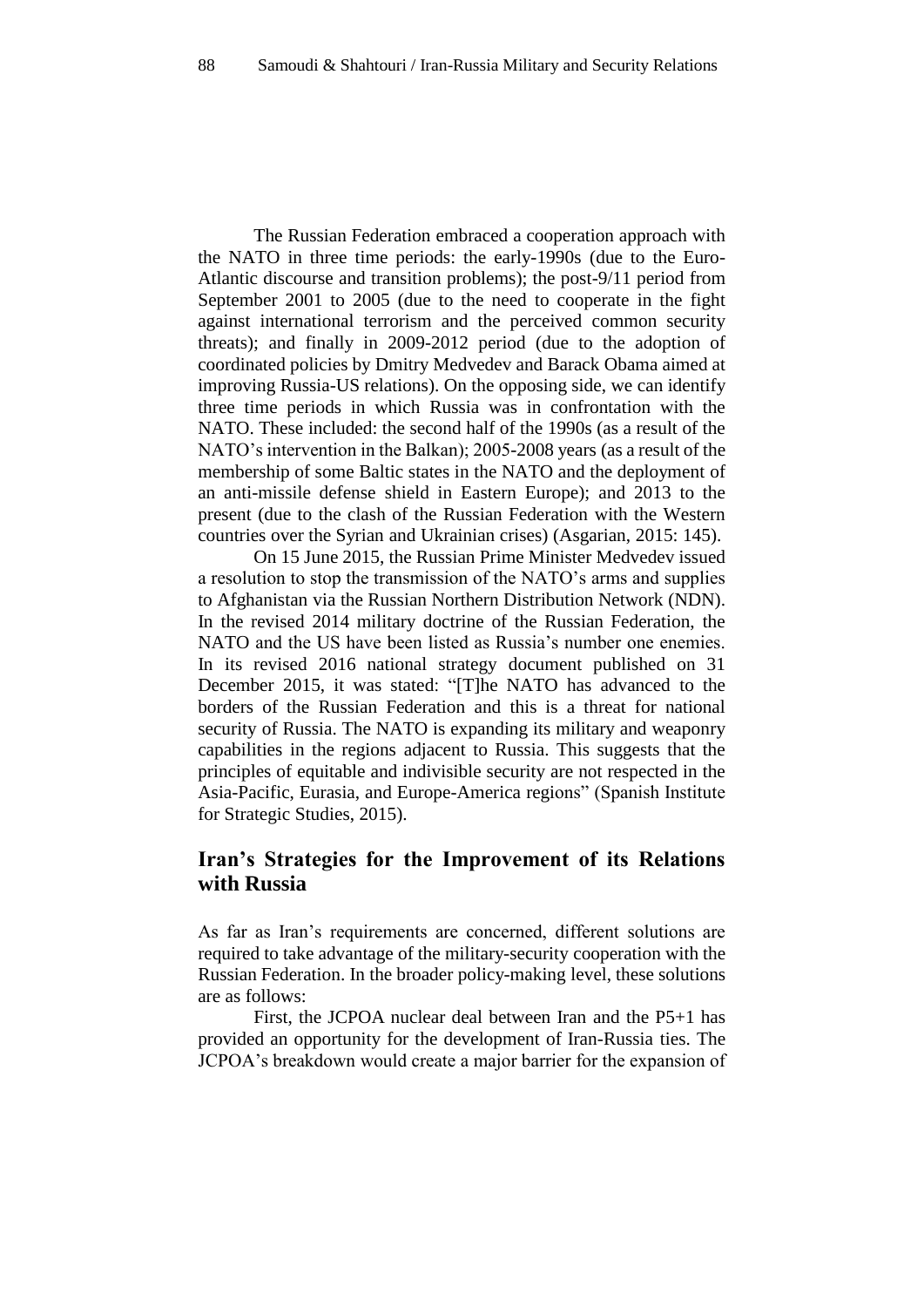The Russian Federation embraced a cooperation approach with the NATO in three time periods: the early-1990s (due to the Euro-Atlantic discourse and transition problems); the post-9/11 period from September 2001 to 2005 (due to the need to cooperate in the fight against international terrorism and the perceived common security threats); and finally in 2009-2012 period (due to the adoption of coordinated policies by Dmitry Medvedev and Barack Obama aimed at improving Russia-US relations). On the opposing side, we can identify three time periods in which Russia was in confrontation with the NATO. These included: the second half of the 1990s (as a result of the NATO's intervention in the Balkan); 2005-2008 years (as a result of the membership of some Baltic states in the NATO and the deployment of an anti-missile defense shield in Eastern Europe); and 2013 to the present (due to the clash of the Russian Federation with the Western countries over the Syrian and Ukrainian crises) (Asgarian, 2015: 145).

On 15 June 2015, the Russian Prime Minister Medvedev issued a resolution to stop the transmission of the NATO's arms and supplies to Afghanistan via the Russian Northern Distribution Network (NDN). In the revised 2014 military doctrine of the Russian Federation, the NATO and the US have been listed as Russia's number one enemies. In its revised 2016 national strategy document published on 31 December 2015, it was stated: "[T]he NATO has advanced to the borders of the Russian Federation and this is a threat for national security of Russia. The NATO is expanding its military and weaponry capabilities in the regions adjacent to Russia. This suggests that the principles of equitable and indivisible security are not respected in the Asia-Pacific, Eurasia, and Europe-America regions" (Spanish Institute for Strategic Studies, 2015).

## **Iran's Strategies for the Improvement of its Relations with Russia**

As far as Iran's requirements are concerned, different solutions are required to take advantage of the military-security cooperation with the Russian Federation. In the broader policy-making level, these solutions are as follows:

First, the JCPOA nuclear deal between Iran and the P5+1 has provided an opportunity for the development of Iran-Russia ties. The JCPOA's breakdown would create a major barrier for the expansion of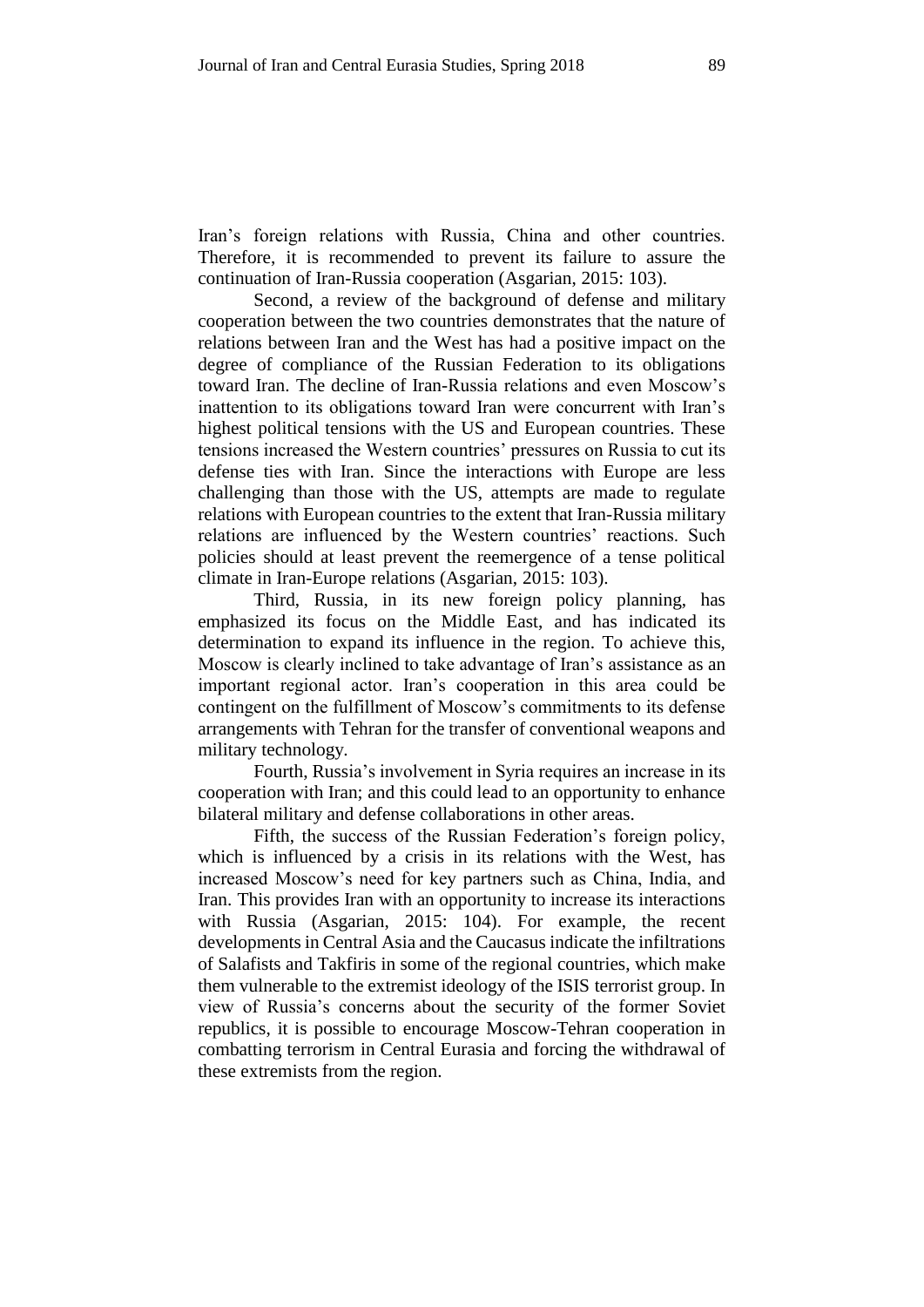Iran's foreign relations with Russia, China and other countries. Therefore, it is recommended to prevent its failure to assure the continuation of Iran-Russia cooperation (Asgarian, 2015: 103).

Second, a review of the background of defense and military cooperation between the two countries demonstrates that the nature of relations between Iran and the West has had a positive impact on the degree of compliance of the Russian Federation to its obligations toward Iran. The decline of Iran-Russia relations and even Moscow's inattention to its obligations toward Iran were concurrent with Iran's highest political tensions with the US and European countries. These tensions increased the Western countries' pressures on Russia to cut its defense ties with Iran. Since the interactions with Europe are less challenging than those with the US, attempts are made to regulate relations with European countries to the extent that Iran-Russia military relations are influenced by the Western countries' reactions. Such policies should at least prevent the reemergence of a tense political climate in Iran-Europe relations (Asgarian, 2015: 103).

Third, Russia, in its new foreign policy planning, has emphasized its focus on the Middle East, and has indicated its determination to expand its influence in the region. To achieve this, Moscow is clearly inclined to take advantage of Iran's assistance as an important regional actor. Iran's cooperation in this area could be contingent on the fulfillment of Moscow's commitments to its defense arrangements with Tehran for the transfer of conventional weapons and military technology.

Fourth, Russia's involvement in Syria requires an increase in its cooperation with Iran; and this could lead to an opportunity to enhance bilateral military and defense collaborations in other areas.

Fifth, the success of the Russian Federation's foreign policy, which is influenced by a crisis in its relations with the West, has increased Moscow's need for key partners such as China, India, and Iran. This provides Iran with an opportunity to increase its interactions with Russia (Asgarian, 2015: 104). For example, the recent developments in Central Asia and the Caucasus indicate the infiltrations of Salafists and Takfiris in some of the regional countries, which make them vulnerable to the extremist ideology of the ISIS terrorist group. In view of Russia's concerns about the security of the former Soviet republics, it is possible to encourage Moscow-Tehran cooperation in combatting terrorism in Central Eurasia and forcing the withdrawal of these extremists from the region.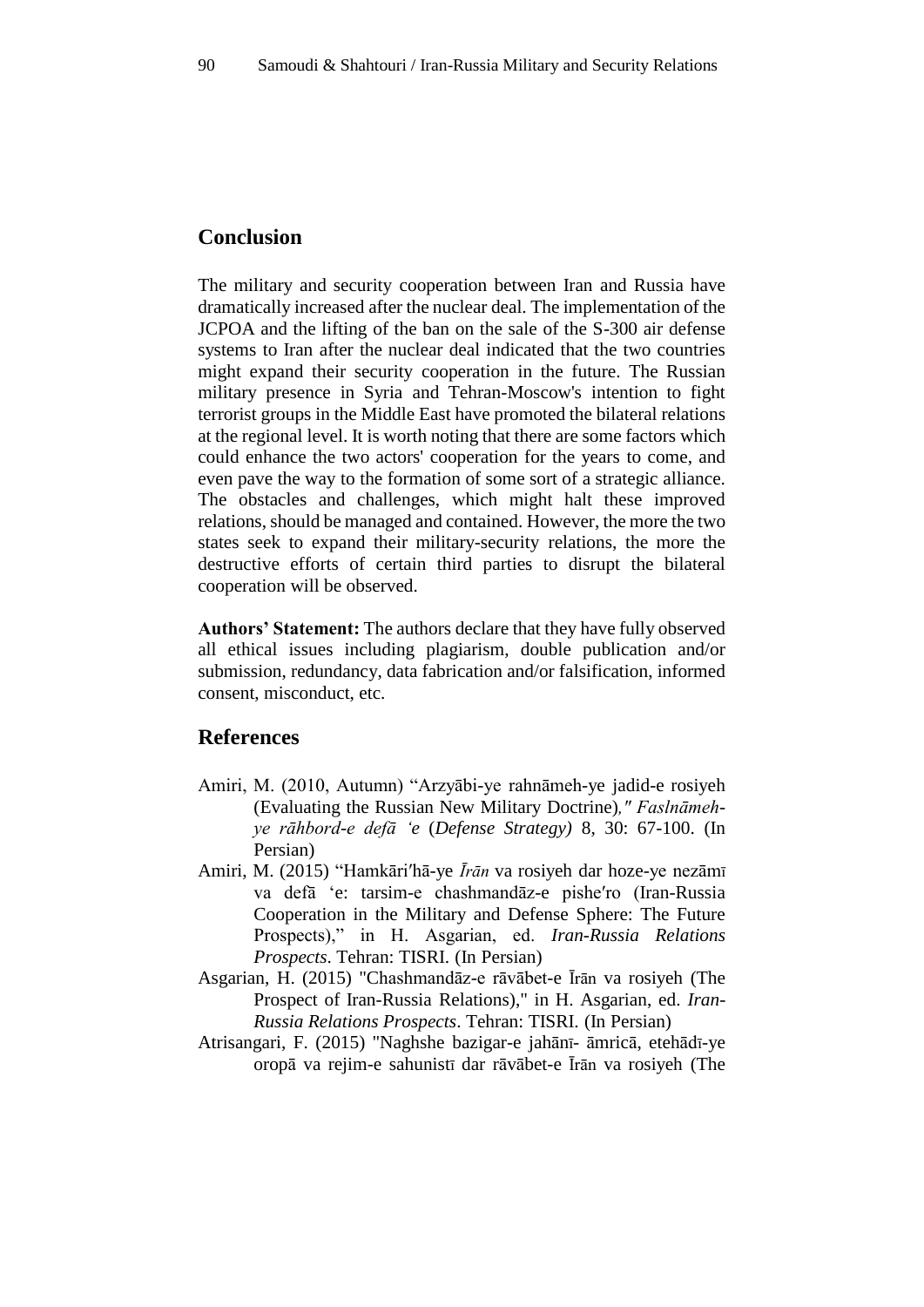## **Conclusion**

The military and security cooperation between Iran and Russia have dramatically increased after the nuclear deal. The implementation of the JCPOA and the lifting of the ban on the sale of the S-300 air defense systems to Iran after the nuclear deal indicated that the two countries might expand their security cooperation in the future. The Russian military presence in Syria and Tehran-Moscow's intention to fight terrorist groups in the Middle East have promoted the bilateral relations at the regional level. It is worth noting that there are some factors which could enhance the two actors' cooperation for the years to come, and even pave the way to the formation of some sort of a strategic alliance. The obstacles and challenges, which might halt these improved relations, should be managed and contained. However, the more the two states seek to expand their military-security relations, the more the destructive efforts of certain third parties to disrupt the bilateral cooperation will be observed.

**Authors' Statement:** The authors declare that they have fully observed all ethical issues including plagiarism, double publication and/or submission, redundancy, data fabrication and/or falsification, informed consent, misconduct, etc.

## **References**

- Amiri, M. (2010, Autumn) "Arzyābi-ye rahnāmeh-ye jadid-e rosiyeh (Evaluating the Russian New Military Doctrine)*," Faslnāmehye rāhbord-e defā 'e* (*Defense Strategy)* 8, 30: 67-100. (In Persian)
- Amiri, M. (2015) "Hamkāriʹhā-ye *Īrān* va rosiyeh dar hoze-ye nezāmī va defā 'e: tarsim-e chashmandāz-e pisheʹro (Iran-Russia Cooperation in the Military and Defense Sphere: The Future Prospects)," in H. Asgarian, ed. *Iran-Russia Relations Prospects*. Tehran: TISRI. (In Persian)
- Asgarian, H. (2015) "Chashmandāz-e rāvābet-e Īrān va rosiyeh (The Prospect of Iran-Russia Relations)," in H. Asgarian, ed. *Iran-Russia Relations Prospects*. Tehran: TISRI. (In Persian)
- Atrisangari, F. (2015) "Naghshe bazigar-e jahānī- āmricā, etehādī-ye oropā va rejim-e sahunistī dar rāvābet-e Īrān va rosiyeh (The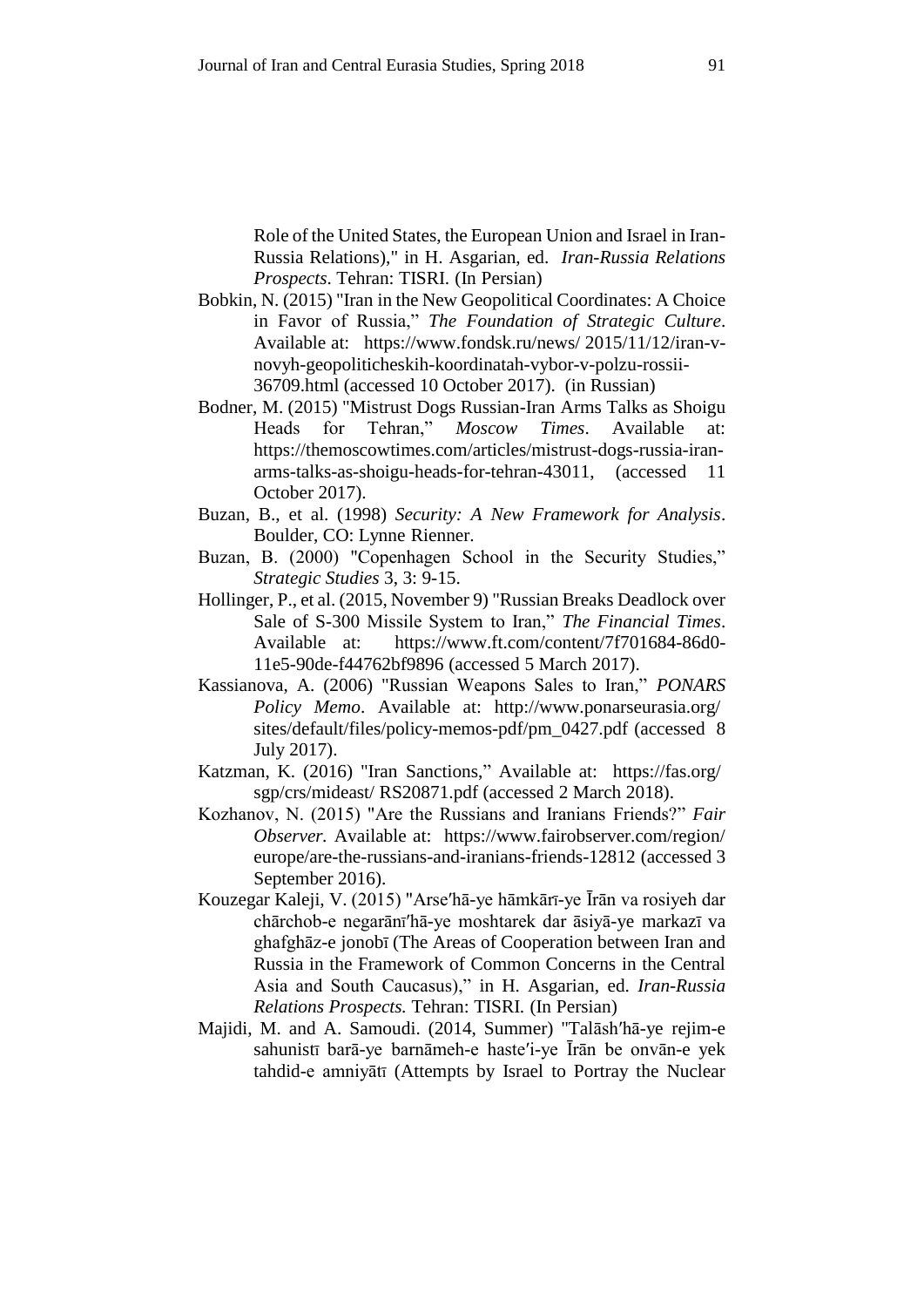Role of the United States, the European Union and Israel in Iran-Russia Relations)," in H. Asgarian, ed. *Iran-Russia Relations Prospects*. Tehran: TISRI. (In Persian)

- Bobkin, N. (2015) "Iran in the New Geopolitical Coordinates: A Choice in Favor of Russia," *The Foundation of Strategic Culture*. Available at: https://www.fondsk.ru/news/ 2015/11/12/iran-vnovyh-geopoliticheskih-koordinatah-vybor-v-polzu-rossii-36709.html (accessed 10 October 2017). (in Russian)
- Bodner, M. (2015) "Mistrust Dogs Russian-Iran Arms Talks as Shoigu Heads for Tehran," *Moscow Times*. Available at: https://themoscowtimes.com/articles/mistrust-dogs-russia-iranarms-talks-as-shoigu-heads-for-tehran-43011, (accessed 11 October 2017).
- Buzan, B., et al. (1998) *Security: A New Framework for Analysis*. Boulder, CO: Lynne Rienner.
- Buzan, B. (2000) "Copenhagen School in the Security Studies," *Strategic Studies* 3, 3: 9-15.
- Hollinger, P., et al. (2015, November 9) "Russian Breaks Deadlock over Sale of S-300 Missile System to Iran," *The Financial Times*. Available at: https://www.ft.com/content/7f701684-86d0- 11e5-90de-f44762bf9896 (accessed 5 March 2017).
- Kassianova, A. (2006) "Russian Weapons Sales to Iran," *PONARS Policy Memo*. Available at: http://www.ponarseurasia.org/ sites/default/files/policy-memos-pdf/pm\_0427.pdf (accessed 8 July 2017).
- Katzman, K. (2016) "Iran Sanctions," Available at: https://fas.org/ sgp/crs/mideast/ RS20871.pdf (accessed 2 March 2018).
- Kozhanov, N. (2015) "Are the Russians and Iranians Friends?" *Fair Observer.* Available at: https://www.fairobserver.com/region/ europe/are-the-russians-and-iranians-friends-12812 (accessed 3 September 2016).
- Kouzegar Kaleji, V. (2015) "Arseʹhā-ye hāmkārī-ye Īrān va rosiyeh dar chārchob-e negarānīʹhā-ye moshtarek dar āsiyā-ye markazī va ghafghāz-e jonobī (The Areas of Cooperation between Iran and Russia in the Framework of Common Concerns in the Central Asia and South Caucasus)," in H. Asgarian, ed. *Iran-Russia Relations Prospects.* Tehran: TISRI. (In Persian)
- Majidi, M. and A. Samoudi. (2014, Summer) "Talāshʹhā-ye rejim-e sahunistī barā-ye barnāmeh-e hasteʹi-ye Īrān be onvān-e yek tahdid-e amniyātī (Attempts by Israel to Portray the Nuclear